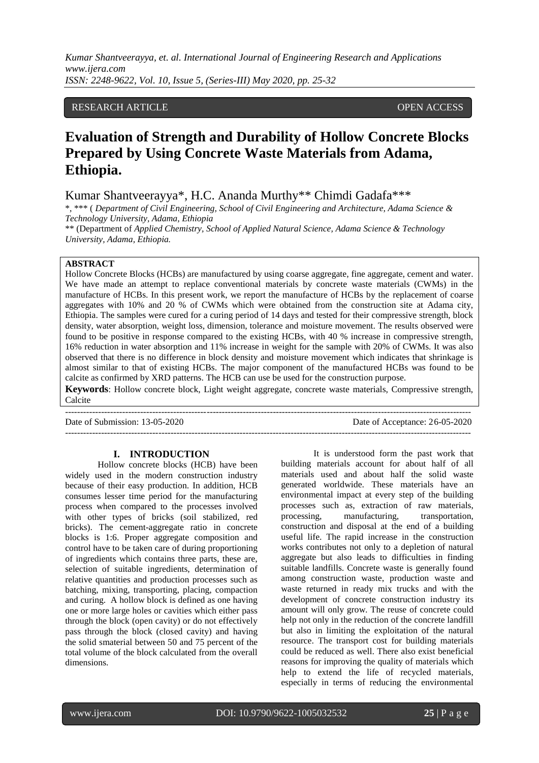*Kumar Shantveerayya, et. al. International Journal of Engineering Research and Applications www.ijera.com ISSN: 2248-9622, Vol. 10, Issue 5, (Series-III) May 2020, pp. 25-32*

# RESEARCH ARTICLE **CONSERVERS** OPEN ACCESS

# **Evaluation of Strength and Durability of Hollow Concrete Blocks Prepared by Using Concrete Waste Materials from Adama, Ethiopia.**

Kumar Shantveerayya\*, H.C. Ananda Murthy\*\* Chimdi Gadafa\*\*\*

\*, \*\*\* ( *Department of Civil Engineering, School of Civil Engineering and Architecture, Adama Science & Technology University, Adama, Ethiopia*

\*\* (Department of *Applied Chemistry, School of Applied Natural Science, Adama Science & Technology University, Adama, Ethiopia.*

# **ABSTRACT**

Hollow Concrete Blocks (HCBs) are manufactured by using coarse aggregate, fine aggregate, cement and water. We have made an attempt to replace conventional materials by concrete waste materials (CWMs) in the manufacture of HCBs. In this present work, we report the manufacture of HCBs by the replacement of coarse aggregates with 10% and 20 % of CWMs which were obtained from the construction site at Adama city, Ethiopia. The samples were cured for a curing period of 14 days and tested for their compressive strength, block density, water absorption, weight loss, dimension, tolerance and moisture movement. The results observed were found to be positive in response compared to the existing HCBs, with 40 % increase in compressive strength, 16% reduction in water absorption and 11% increase in weight for the sample with 20% of CWMs. It was also observed that there is no difference in block density and moisture movement which indicates that shrinkage is almost similar to that of existing HCBs. The major component of the manufactured HCBs was found to be calcite as confirmed by XRD patterns. The HCB can use be used for the construction purpose.

**Keywords**: Hollow concrete block, Light weight aggregate, concrete waste materials, Compressive strength, Calcite

---------------------------------------------------------------------------------------------------------------------------------------

---------------------------------------------------------------------------------------------------------------------------------------

Date of Submission: 13-05-2020 Date of Acceptance: 26-05-2020

# **I. INTRODUCTION**

Hollow concrete blocks (HCB) have been widely used in the modern construction industry because of their easy production. In addition, HCB consumes lesser time period for the manufacturing process when compared to the processes involved with other types of bricks (soil stabilized, red bricks). The cement-aggregate ratio in concrete blocks is 1:6. Proper aggregate composition and control have to be taken care of during proportioning of ingredients which contains three parts, these are, selection of suitable ingredients, determination of relative quantities and production processes such as batching, mixing, transporting, placing, compaction and curing. A hollow block is defined as one having one or more large holes or cavities which either pass through the block (open cavity) or do not effectively pass through the block (closed cavity) and having the solid smaterial between 50 and 75 percent of the total volume of the block calculated from the overall dimensions.

It is understood form the past work that building materials account for about half of all materials used and about half the solid waste generated worldwide. These materials have an environmental impact at every step of the building processes such as, extraction of raw materials, processing, manufacturing, transportation, construction and disposal at the end of a building useful life. The rapid increase in the construction works contributes not only to a depletion of natural aggregate but also leads to difficulties in finding suitable landfills. Concrete waste is generally found among construction waste, production waste and waste returned in ready mix trucks and with the development of concrete construction industry its amount will only grow. The reuse of concrete could help not only in the reduction of the concrete landfill but also in limiting the exploitation of the natural resource. The transport cost for building materials could be reduced as well. There also exist beneficial reasons for improving the quality of materials which help to extend the life of recycled materials, especially in terms of reducing the environmental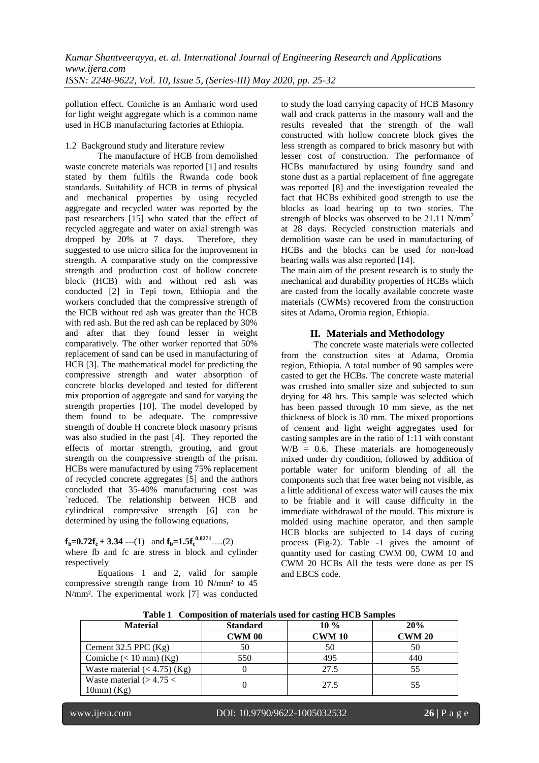pollution effect. Comiche is an Amharic word used for light weight aggregate which is a common name used in HCB manufacturing factories at Ethiopia.

#### 1.2 Background study and literature review

The manufacture of HCB from demolished waste concrete materials was reported [1] and results stated by them fulfils the Rwanda code book standards. Suitability of HCB in terms of physical and mechanical properties by using recycled aggregate and recycled water was reported by the past researchers [15] who stated that the effect of recycled aggregate and water on axial strength was<br>dropped by 20% at 7 days. Therefore, they dropped by 20% at 7 days. suggested to use micro silica for the improvement in strength. A comparative study on the compressive strength and production cost of hollow concrete block (HCB) with and without red ash was conducted [2] in Tepi town, Ethiopia and the workers concluded that the compressive strength of the HCB without red ash was greater than the HCB with red ash. But the red ash can be replaced by 30% and after that they found lesser in weight comparatively. The other worker reported that 50% replacement of sand can be used in manufacturing of HCB [3]. The mathematical model for predicting the compressive strength and water absorption of concrete blocks developed and tested for different mix proportion of aggregate and sand for varying the strength properties [10]. The model developed by them found to be adequate. The compressive strength of double H concrete block masonry prisms was also studied in the past [4]. They reported the effects of mortar strength, grouting, and grout strength on the compressive strength of the prism. HCBs were manufactured by using 75% replacement of recycled concrete aggregates [5] and the authors concluded that 35-40% manufacturing cost was `reduced. The relationship between HCB and cylindrical compressive strength [6] can be determined by using the following equations,

 $f_b = 0.72f_c + 3.34$  ---(1) and  $f_b = 1.5f_c^{0.8271}$ ….(2) where fb and fc are stress in block and cylinder respectively

Equations 1 and 2, valid for sample compressive strength range from 10 N/mm² to 45 N/mm². The experimental work [7] was conducted to study the load carrying capacity of HCB Masonry wall and crack patterns in the masonry wall and the results revealed that the strength of the wall constructed with hollow concrete block gives the less strength as compared to brick masonry but with lesser cost of construction. The performance of HCBs manufactured by using foundry sand and stone dust as a partial replacement of fine aggregate was reported [8] and the investigation revealed the fact that HCBs exhibited good strength to use the blocks as load bearing up to two stories. The strength of blocks was observed to be 21.11 N/mm<sup>2</sup> at 28 days. Recycled construction materials and demolition waste can be used in manufacturing of HCBs and the blocks can be used for non-load bearing walls was also reported [14].

The main aim of the present research is to study the mechanical and durability properties of HCBs which are casted from the locally available concrete waste materials (CWMs) recovered from the construction sites at Adama, Oromia region, Ethiopia.

# **II. Materials and Methodology**

The concrete waste materials were collected from the construction sites at Adama, Oromia region, Ethiopia. A total number of 90 samples were casted to get the HCBs. The concrete waste material was crushed into smaller size and subjected to sun drying for 48 hrs. This sample was selected which has been passed through 10 mm sieve, as the net thickness of block is 30 mm. The mixed proportions of cement and light weight aggregates used for casting samples are in the ratio of 1:11 with constant  $W/B = 0.6$ . These materials are homogeneously mixed under dry condition, followed by addition of portable water for uniform blending of all the components such that free water being not visible, as a little additional of excess water will causes the mix to be friable and it will cause difficulty in the immediate withdrawal of the mould. This mixture is molded using machine operator, and then sample HCB blocks are subjected to 14 days of curing process (Fig-2). Table -1 gives the amount of quantity used for casting CWM 00, CWM 10 and CWM 20 HCBs All the tests were done as per IS and EBCS code.

| <b>Material</b>                | <b>Standard</b> | $10\%$        | 20%           |
|--------------------------------|-----------------|---------------|---------------|
|                                | <b>CWM 00</b>   | <b>CWM 10</b> | <b>CWM 20</b> |
| Cement $32.5$ PPC $(Kg)$       | 50              | 50            | 50            |
| Comiche $(< 10$ mm $)$ (Kg)    | 550             | 495           | 440           |
| Waste material $(< 4.75)$ (Kg) |                 | 27.5          | 55            |
| Waste material $(>4.75<$       |                 | 27.5          | 55            |
| $10mm$ (Kg)                    |                 |               |               |

**Table 1 Composition of materials used for casting HCB Samples**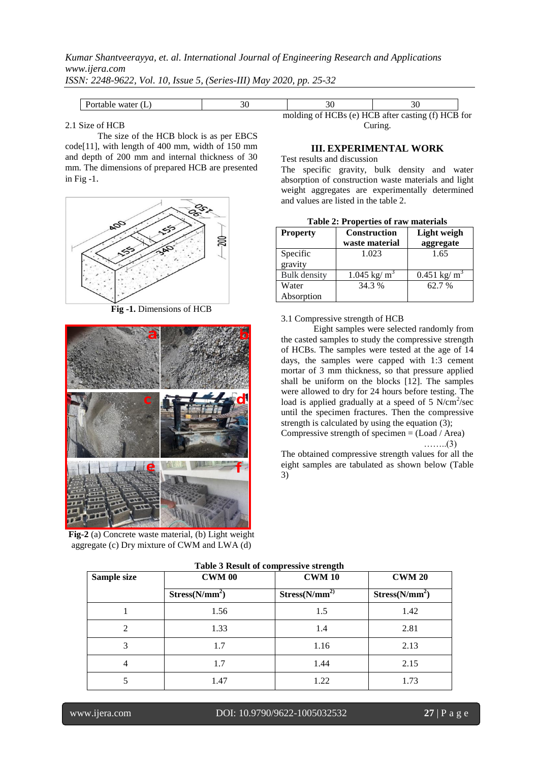*Kumar Shantveerayya, et. al. International Journal of Engineering Research and Applications www.ijera.com*

*ISSN: 2248-9622, Vol. 10, Issue 5, (Series-III) May 2020, pp. 25-32*

| ware.<br>שוני |                                       |                                                            |
|---------------|---------------------------------------|------------------------------------------------------------|
|               | (0)<br>molding<br>ח ⊿י<br>.<br>.<br>. | َ R after casting (f)<br>$\cdot$ HC <sup>T</sup><br>`R t∩r |

# 2.1 Size of HCB

The size of the HCB block is as per EBCS code[11], with length of 400 mm, width of 150 mm and depth of 200 mm and internal thickness of 30 mm. The dimensions of prepared HCB are presented in Fig -1.



**Fig -1.** Dimensions of HCB



**Fig-2** (a) Concrete waste material, (b) Light weight aggregate (c) Dry mixture of CWM and LWA (d)

| molding of HCBs (e) HCB after casting (f) HCB for |  |  |
|---------------------------------------------------|--|--|
| Curing.                                           |  |  |

#### **III. EXPERIMENTAL WORK**

Test results and discussion

The specific gravity, bulk density and water absorption of construction waste materials and light weight aggregates are experimentally determined and values are listed in the table 2.

|  |  |  |  |  |  | Table 2: Properties of raw materials |  |
|--|--|--|--|--|--|--------------------------------------|--|
|--|--|--|--|--|--|--------------------------------------|--|

| <b>Property</b>     | Construction<br>waste material | Light weigh<br>aggregate |
|---------------------|--------------------------------|--------------------------|
| Specific            | 1.023                          | 1.65                     |
| gravity             |                                |                          |
| <b>Bulk</b> density | $1.045 \text{ kg/m}^3$         | $0.451 \text{ kg/m}^3$   |
| Water               | 34.3 %                         | 62.7 %                   |
| Absorption          |                                |                          |

#### 3.1 Compressive strength of HCB

Eight samples were selected randomly from the casted samples to study the compressive strength of HCBs. The samples were tested at the age of 14 days, the samples were capped with 1:3 cement mortar of 3 mm thickness, so that pressure applied shall be uniform on the blocks [12]. The samples were allowed to dry for 24 hours before testing. The load is applied gradually at a speed of  $5 \text{ N/cm}^2/\text{sec}$ until the specimen fractures. Then the compressive strength is calculated by using the equation (3); Compressive strength of specimen = (Load / Area)

……..(3)

The obtained compressive strength values for all the eight samples are tabulated as shown below (Table 3)

| Sample size | <b>CWM 00</b>              | - o<br><b>CWM 10</b>       | <b>CWM 20</b>              |
|-------------|----------------------------|----------------------------|----------------------------|
|             | Stress(N/mm <sup>2</sup> ) | Stress(N/mm <sup>2</sup> ) | Stress(N/mm <sup>2</sup> ) |
|             | 1.56                       | 1.5                        | 1.42                       |
| 2           | 1.33                       | 1.4                        | 2.81                       |
| 3           | 1.7                        | 1.16                       | 2.13                       |
| 4           | 1.7                        | 1.44                       | 2.15                       |
|             | 1.47                       | 1.22                       | 1.73                       |

#### **Table 3 Result of compressive strength**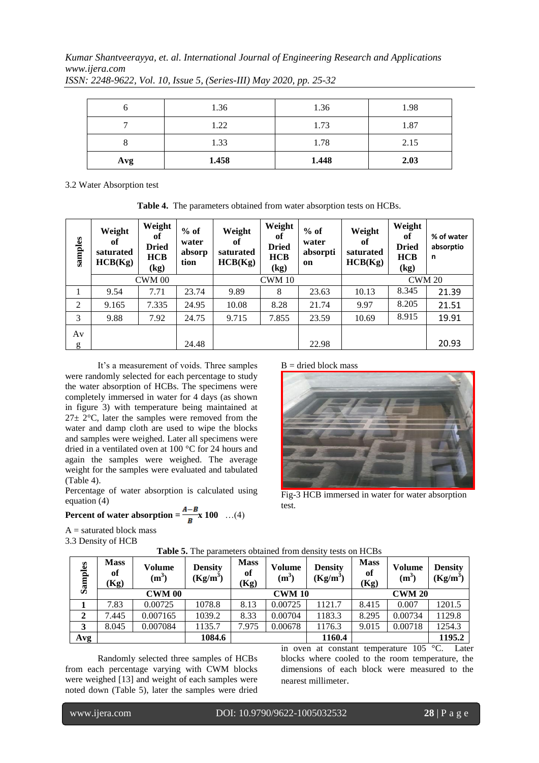*Kumar Shantveerayya, et. al. International Journal of Engineering Research and Applications www.ijera.com*

|     | 1.36  | 1.36  | 1.98 |
|-----|-------|-------|------|
|     | 1.22  | 1.73  | 1.87 |
|     | 1.33  | 1.78  | 2.15 |
| Avg | 1.458 | 1.448 | 2.03 |

*ISSN: 2248-9622, Vol. 10, Issue 5, (Series-III) May 2020, pp. 25-32*

3.2 Water Absorption test

**Table 4.** The parameters obtained from water absorption tests on HCBs.

| samples | Weight<br>of<br>saturated<br>HCB(Kg) | Weight<br>оť<br><b>Dried</b><br><b>HCB</b><br>(kg) | $%$ of<br>water<br>absorp<br>tion | Weight<br>of<br>saturated<br>HCB(Kg) | Weight<br>of<br><b>Dried</b><br><b>HCB</b><br>(kg) | $%$ of<br>water<br>absorpti<br>on | Weight<br>оť<br>saturated<br>HCB(Kg) | Weight<br>of<br><b>Dried</b><br><b>HCB</b><br>(kg) | % of water<br>absorptio<br>n |  |
|---------|--------------------------------------|----------------------------------------------------|-----------------------------------|--------------------------------------|----------------------------------------------------|-----------------------------------|--------------------------------------|----------------------------------------------------|------------------------------|--|
|         | <b>CWM 00</b>                        |                                                    |                                   |                                      | <b>CWM 10</b>                                      |                                   | <b>CWM 20</b>                        |                                                    |                              |  |
| 1       | 9.54                                 | 7.71                                               | 23.74                             | 9.89                                 | 8                                                  | 23.63                             | 10.13                                | 8.345                                              | 21.39                        |  |
| 2       | 9.165                                | 7.335                                              | 24.95                             | 10.08                                | 8.28                                               | 21.74                             | 9.97                                 | 8.205                                              | 21.51                        |  |
| 3       | 9.88                                 | 7.92                                               | 24.75                             | 9.715                                | 7.855                                              | 23.59                             | 10.69                                | 8.915                                              | 19.91                        |  |
| Av      |                                      |                                                    |                                   |                                      |                                                    |                                   |                                      |                                                    |                              |  |
| g       |                                      |                                                    | 24.48                             |                                      |                                                    | 22.98                             |                                      |                                                    | 20.93                        |  |

 $B =$  dried block mass

It's a measurement of voids. Three samples were randomly selected for each percentage to study the water absorption of HCBs. The specimens were completely immersed in water for 4 days (as shown in figure 3) with temperature being maintained at  $27\pm 2$ °C, later the samples were removed from the water and damp cloth are used to wipe the blocks and samples were weighed. Later all specimens were dried in a ventilated oven at 100 °C for 24 hours and again the samples were weighed. The average weight for the samples were evaluated and tabulated (Table 4).

Percentage of water absorption is calculated using equation (4)

# **Percent of water absorption =**  $\frac{A-B}{B}$  **x 100** …(4)

 $A =$  saturated block mass 3.3 Density of HCB

| Samples | <b>Mass</b><br>of<br>(Kg) | Volume<br>$(m^3)$ | <b>Density</b><br>$(Kg/m^3)$ | <b>Mass</b><br>of<br>(Kg) | Volume<br>$(m^3)$ | <b>Density</b><br>$(Kg/m^3)$ | <b>Mass</b><br>of<br>(Kg) | <b>Volume</b><br>$(m^3)$ | <b>Density</b><br>$(Kg/m^3)$ |  |
|---------|---------------------------|-------------------|------------------------------|---------------------------|-------------------|------------------------------|---------------------------|--------------------------|------------------------------|--|
|         |                           | <b>CWM 00</b>     |                              |                           | <b>CWM 10</b>     |                              | <b>CWM 20</b>             |                          |                              |  |
|         | 7.83                      | 0.00725           | 1078.8                       | 8.13                      | 0.00725           | 1121.7                       | 8.415                     | 0.007                    | 1201.5                       |  |
| 2       | 7.445                     | 0.007165          | 1039.2                       | 8.33                      | 0.00704           | 1183.3                       | 8.295                     | 0.00734                  | 1129.8                       |  |
| 3       | 8.045                     | 0.007084          | 1135.7                       | 7.975                     | 0.00678           | 1176.3                       | 9.015                     | 0.00718                  | 1254.3                       |  |
| Avg     |                           |                   | 1084.6                       |                           |                   | 1160.4                       |                           |                          | 1195.2                       |  |

**Table 5.** The parameters obtained from density tests on HCBs

test.

Randomly selected three samples of HCBs from each percentage varying with CWM blocks were weighed [13] and weight of each samples were noted down (Table 5), later the samples were dried in oven at constant temperature 105 °C. Later blocks where cooled to the room temperature, the dimensions of each block were measured to the nearest millimeter.

Fig-3 HCB immersed in water for water absorption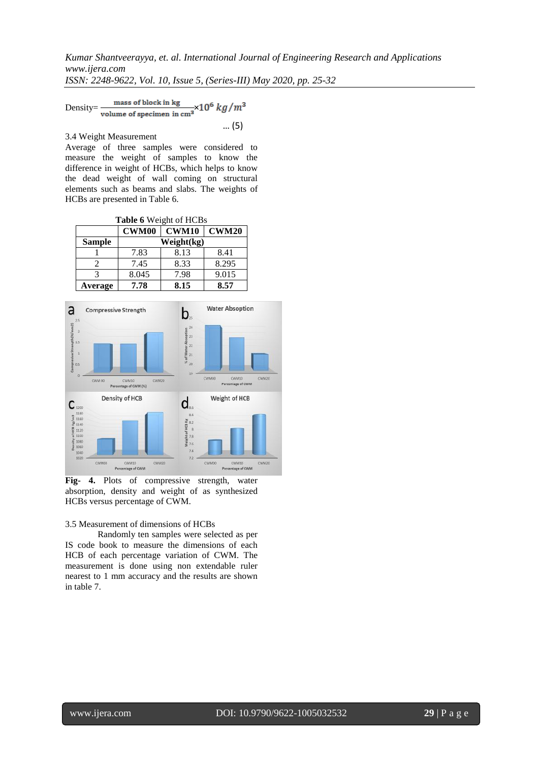*Kumar Shantveerayya, et. al. International Journal of Engineering Research and Applications www.ijera.com*

*ISSN: 2248-9622, Vol. 10, Issue 5, (Series-III) May 2020, pp. 25-32*

Density= $\frac{\text{mass of block in kg}}{\text{volume of specimen in cm}^2} \times 10^6 \text{ kg/m}^3$ … (5)

3.4 Weight Measurement

Average of three samples were considered to measure the weight of samples to know the difference in weight of HCBs, which helps to know the dead weight of wall coming on structural elements such as beams and slabs. The weights of HCBs are presented in Table 6.

**Table 6** Weight of HCBs

|               | CWM00      | <b>CWM10</b> | <b>CWM20</b> |  |  |  |  |  |  |
|---------------|------------|--------------|--------------|--|--|--|--|--|--|
| <b>Sample</b> | Weight(kg) |              |              |  |  |  |  |  |  |
|               | 7.83       | 8.13         | 8.41         |  |  |  |  |  |  |
|               | 7.45       | 8.33         | 8.295        |  |  |  |  |  |  |
|               | 8.045      | 7.98         | 9.015        |  |  |  |  |  |  |
| Average       | 7.78       | 8.15         | 8.57         |  |  |  |  |  |  |



**Fig- 4.** Plots of compressive strength, water absorption, density and weight of as synthesized HCBs versus percentage of CWM.

#### 3.5 Measurement of dimensions of HCBs

Randomly ten samples were selected as per IS code book to measure the dimensions of each HCB of each percentage variation of CWM. The measurement is done using non extendable ruler nearest to 1 mm accuracy and the results are shown in table 7.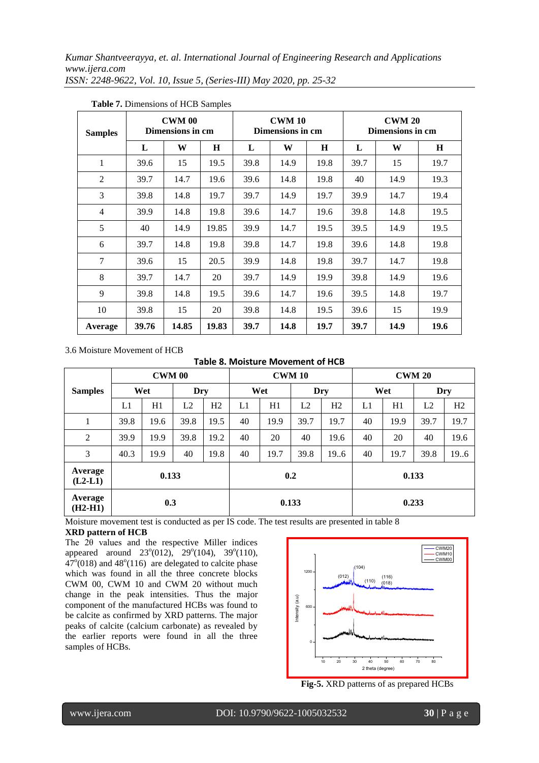*Kumar Shantveerayya, et. al. International Journal of Engineering Research and Applications www.ijera.com ISSN: 2248-9622, Vol. 10, Issue 5, (Series-III) May 2020, pp. 25-32*

| <b>Samples</b> |       | <b>CWM 00</b><br>Dimensions in cm |         |      | <b>CWM 10</b><br>Dimensions in cm |      | <b>CWM 20</b><br>Dimensions in cm |      |      |
|----------------|-------|-----------------------------------|---------|------|-----------------------------------|------|-----------------------------------|------|------|
|                | L     | W                                 | $\bf H$ | L    | W                                 | H    | L                                 | W    | H    |
| $\mathbf{1}$   | 39.6  | 15                                | 19.5    | 39.8 | 14.9                              | 19.8 | 39.7                              | 15   | 19.7 |
| 2              | 39.7  | 14.7                              | 19.6    | 39.6 | 14.8                              | 19.8 | 40                                | 14.9 | 19.3 |
| 3              | 39.8  | 14.8                              | 19.7    | 39.7 | 14.9                              | 19.7 | 39.9                              | 14.7 | 19.4 |
| $\overline{4}$ | 39.9  | 14.8                              | 19.8    | 39.6 | 14.7                              | 19.6 | 39.8                              | 14.8 | 19.5 |
| 5              | 40    | 14.9                              | 19.85   | 39.9 | 14.7                              | 19.5 | 39.5                              | 14.9 | 19.5 |
| 6              | 39.7  | 14.8                              | 19.8    | 39.8 | 14.7                              | 19.8 | 39.6                              | 14.8 | 19.8 |
| 7              | 39.6  | 15                                | 20.5    | 39.9 | 14.8                              | 19.8 | 39.7                              | 14.7 | 19.8 |
| 8              | 39.7  | 14.7                              | 20      | 39.7 | 14.9                              | 19.9 | 39.8                              | 14.9 | 19.6 |
| 9              | 39.8  | 14.8                              | 19.5    | 39.6 | 14.7                              | 19.6 | 39.5                              | 14.8 | 19.7 |
| 10             | 39.8  | 15                                | 20      | 39.8 | 14.8                              | 19.5 | 39.6                              | 15   | 19.9 |
| Average        | 39.76 | 14.85                             | 19.83   | 39.7 | 14.8                              | 19.7 | 39.7                              | 14.9 | 19.6 |

**Table 7.** Dimensions of HCB Samples

3.6 Moisture Movement of HCB

#### **Table 8. Moisture Movement of HCB**

|                      | <b>CWM 00</b> |      |                |      | <b>CWM 10</b> |       |      |                | <b>CWM 20</b> |      |      |      |  |
|----------------------|---------------|------|----------------|------|---------------|-------|------|----------------|---------------|------|------|------|--|
| <b>Samples</b>       | Wet           |      |                | Dry  |               | Wet   |      | Dry            |               | Wet  |      | Dry  |  |
|                      | L1            | H1   | L <sub>2</sub> | H2   | L1            | H1    | L2   | H <sub>2</sub> | L1            | H1   | L2   | H2   |  |
| 1                    | 39.8          | 19.6 | 39.8           | 19.5 | 40            | 19.9  | 39.7 | 19.7           | 40            | 19.9 | 39.7 | 19.7 |  |
| $\overline{2}$       | 39.9          | 19.9 | 39.8           | 19.2 | 40            | 20    | 40   | 19.6           | 40            | 20   | 40   | 19.6 |  |
| 3                    | 40.3          | 19.9 | 40             | 19.8 | 40            | 19.7  | 39.8 | 19.6           | 40            | 19.7 | 39.8 | 19.6 |  |
| Average<br>$(L2-L1)$ | 0.133         |      |                |      | 0.2           |       |      | 0.133          |               |      |      |      |  |
| Average<br>$(H2-H1)$ | 0.3           |      |                |      |               | 0.133 |      |                | 0.233         |      |      |      |  |

Moisture movement test is conducted as per IS code. The test results are presented in table 8 **XRD pattern of HCB**

The 2θ values and the respective Miller indices appeared around  $23^{\circ}(012)$ ,  $29^{\circ}(104)$ ,  $39^{\circ}(110)$ ,  $47^{\circ}(018)$  and  $48^{\circ}(116)$  are delegated to calcite phase which was found in all the three concrete blocks CWM 00, CWM 10 and CWM 20 without much change in the peak intensities. Thus the major component of the manufactured HCBs was found to be calcite as confirmed by XRD patterns. The major peaks of calcite (calcium carbonate) as revealed by the earlier reports were found in all the three samples of HCBs.



**Fig-5.** XRD patterns of as prepared HCBs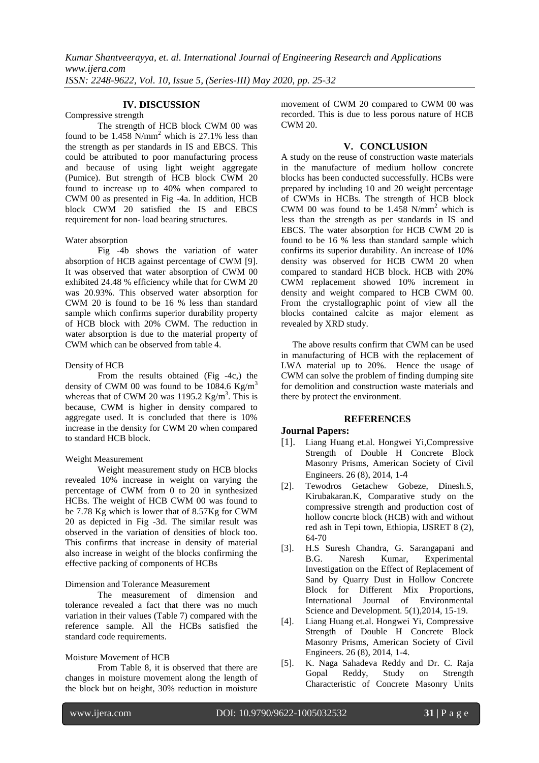# **IV. DISCUSSION**

Compressive strength

The strength of HCB block CWM 00 was found to be  $1.458$  N/mm<sup>2</sup> which is 27.1% less than the strength as per standards in IS and EBCS. This could be attributed to poor manufacturing process and because of using light weight aggregate (Pumice). But strength of HCB block CWM 20 found to increase up to 40% when compared to CWM 00 as presented in Fig -4a. In addition, HCB block CWM 20 satisfied the IS and EBCS requirement for non- load bearing structures.

Water absorption

Fig -4b shows the variation of water absorption of HCB against percentage of CWM [9]. It was observed that water absorption of CWM 00 exhibited 24.48 % efficiency while that for CWM 20 was 20.93%. This observed water absorption for CWM 20 is found to be 16 % less than standard sample which confirms superior durability property of HCB block with 20% CWM. The reduction in water absorption is due to the material property of CWM which can be observed from table 4.

# Density of HCB

From the results obtained (Fig -4c,) the density of CWM 00 was found to be 1084.6  $Kg/m<sup>3</sup>$ whereas that of CWM 20 was  $1195.2$  Kg/m<sup>3</sup>. This is because, CWM is higher in density compared to aggregate used. It is concluded that there is 10% increase in the density for CWM 20 when compared to standard HCB block.

# Weight Measurement

Weight measurement study on HCB blocks revealed 10% increase in weight on varying the percentage of CWM from 0 to 20 in synthesized HCBs. The weight of HCB CWM 00 was found to be 7.78 Kg which is lower that of 8.57Kg for CWM 20 as depicted in Fig -3d. The similar result was observed in the variation of densities of block too. This confirms that increase in density of material also increase in weight of the blocks confirming the effective packing of components of HCBs

# Dimension and Tolerance Measurement

The measurement of dimension and tolerance revealed a fact that there was no much variation in their values (Table 7) compared with the reference sample. All the HCBs satisfied the standard code requirements.

# Moisture Movement of HCB

From Table 8, it is observed that there are changes in moisture movement along the length of the block but on height, 30% reduction in moisture

movement of CWM 20 compared to CWM 00 was recorded. This is due to less porous nature of HCB CWM 20.

# **V. CONCLUSION**

A study on the reuse of construction waste materials in the manufacture of medium hollow concrete blocks has been conducted successfully. HCBs were prepared by including 10 and 20 weight percentage of CWMs in HCBs. The strength of HCB block CWM 00 was found to be 1.458  $N/mm^2$  which is less than the strength as per standards in IS and EBCS. The water absorption for HCB CWM 20 is found to be 16 % less than standard sample which confirms its superior durability. An increase of 10% density was observed for HCB CWM 20 when compared to standard HCB block. HCB with 20% CWM replacement showed 10% increment in density and weight compared to HCB CWM 00. From the crystallographic point of view all the blocks contained calcite as major element as revealed by XRD study.

 The above results confirm that CWM can be used in manufacturing of HCB with the replacement of LWA material up to 20%. Hence the usage of CWM can solve the problem of finding dumping site for demolition and construction waste materials and there by protect the environment.

# **REFERENCES**

# **Journal Papers:**

- [1]. Liang Huang et.al. Hongwei Yi,Compressive Strength of Double H Concrete Block Masonry Prisms, American Society of Civil Engineers. 26 (8), 2014, 1-4
- [2]. Tewodros Getachew Gobeze, Dinesh.S, Kirubakaran.K, Comparative study on the compressive strength and production cost of hollow concrte block (HCB) with and without red ash in Tepi town, Ethiopia, IJSRET 8 (2), 64-70
- [3]. H.S Suresh Chandra, G. Sarangapani and B.G. Naresh Kumar, Experimental Investigation on the Effect of Replacement of Sand by Quarry Dust in Hollow Concrete Block for Different Mix Proportions, International Journal of Environmental Science and Development. 5(1), 2014, 15-19.
- [4]. Liang Huang et.al. Hongwei Yi, Compressive Strength of Double H Concrete Block Masonry Prisms, American Society of Civil Engineers. 26 (8), 2014, 1-4.
- [5]. K. Naga Sahadeva Reddy and Dr. C. Raja Gopal Reddy, Study on Strength Characteristic of Concrete Masonry Units